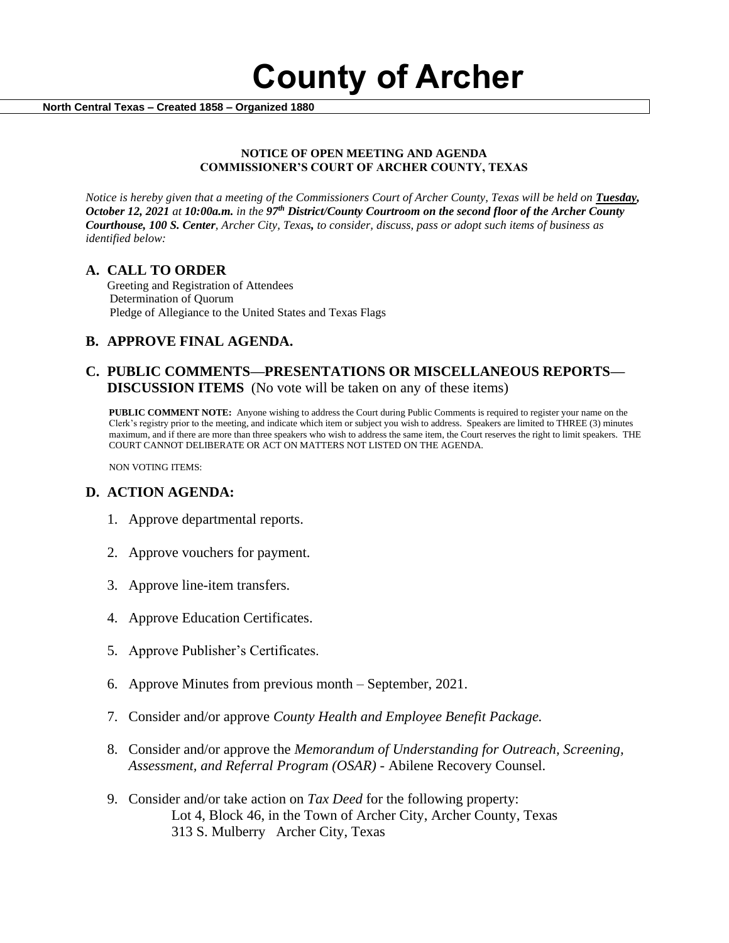**County of Archer** 

 **North Central Texas – Created 1858 – Organized 1880**

#### **NOTICE OF OPEN MEETING AND AGENDA COMMISSIONER'S COURT OF ARCHER COUNTY, TEXAS**

*Notice is hereby given that a meeting of the Commissioners Court of Archer County, Texas will be held on Tuesday, October 12, 2021 at 10:00a.m. in the 97th District/County Courtroom on the second floor of the Archer County Courthouse, 100 S. Center, Archer City, Texas, to consider, discuss, pass or adopt such items of business as identified below:*

### **A. CALL TO ORDER**

 Greeting and Registration of Attendees Determination of Quorum Pledge of Allegiance to the United States and Texas Flags

# **B. APPROVE FINAL AGENDA.**

## **C. PUBLIC COMMENTS—PRESENTATIONS OR MISCELLANEOUS REPORTS— DISCUSSION ITEMS** (No vote will be taken on any of these items)

**PUBLIC COMMENT NOTE:** Anyone wishing to address the Court during Public Comments is required to register your name on the Clerk's registry prior to the meeting, and indicate which item or subject you wish to address. Speakers are limited to THREE (3) minutes maximum, and if there are more than three speakers who wish to address the same item, the Court reserves the right to limit speakers. THE COURT CANNOT DELIBERATE OR ACT ON MATTERS NOT LISTED ON THE AGENDA.

NON VOTING ITEMS:

### **D. ACTION AGENDA:**

- 1. Approve departmental reports.
- 2. Approve vouchers for payment.
- 3. Approve line-item transfers.
- 4. Approve Education Certificates.
- 5. Approve Publisher's Certificates.
- 6. Approve Minutes from previous month September, 2021.
- 7. Consider and/or approve *County Health and Employee Benefit Package.*
- 8. Consider and/or approve the *Memorandum of Understanding for Outreach, Screening, Assessment, and Referral Program (OSAR) -* Abilene Recovery Counsel.
- 9. Consider and/or take action on *Tax Deed* for the following property: Lot 4, Block 46, in the Town of Archer City, Archer County, Texas 313 S. Mulberry Archer City, Texas